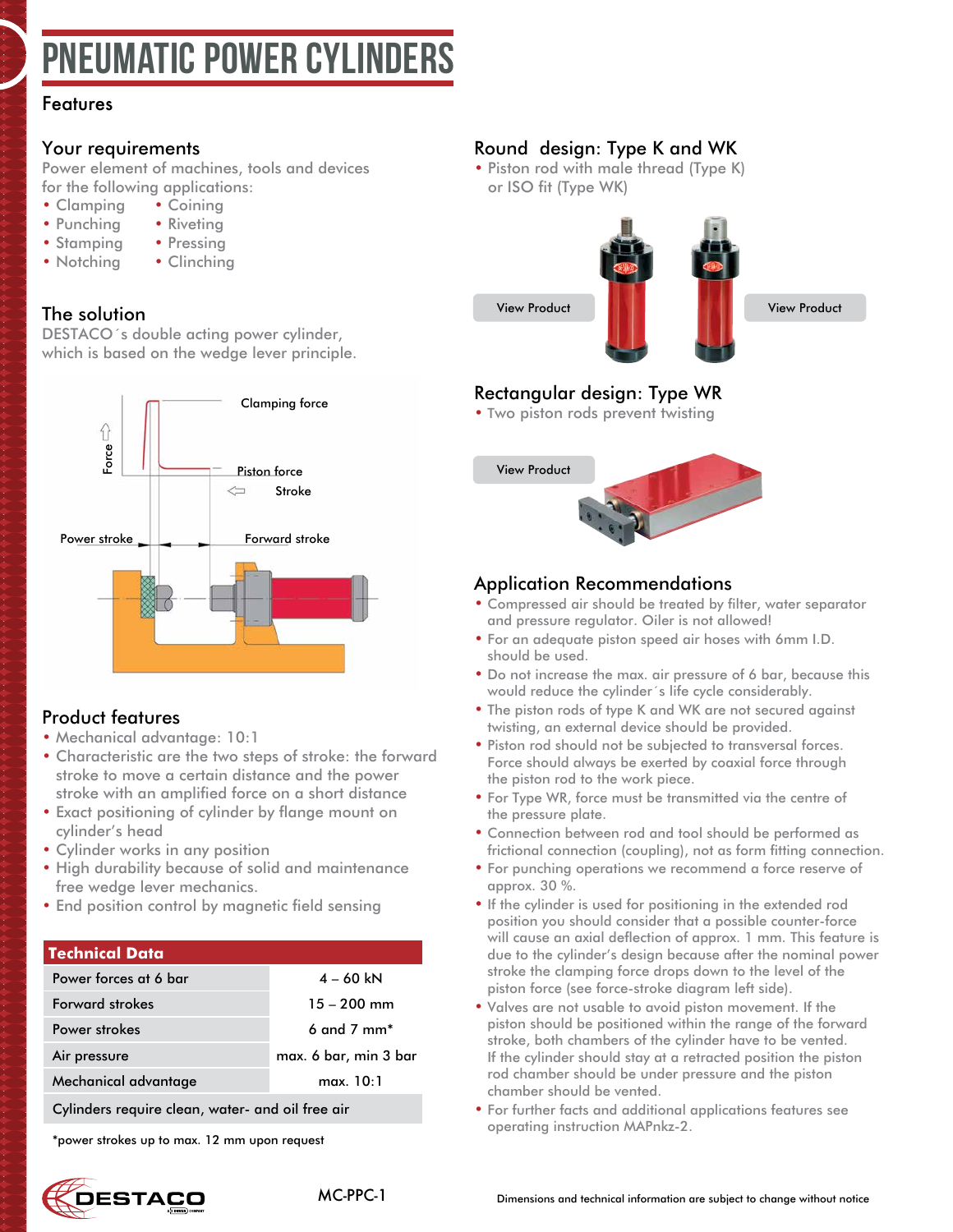# PNEUMATIC POWER CYLINDER

### Features

### Your requirements

Power element of machines, tools and devices for the following applications:

- Clamping Coining
- Punching Riveting
- Stamping Pressing
- Notching Clinching
	-

### The solution

DESTACO´s double acting power cylinder, which is based on the wedge lever principle.



### Product features

- Mechanical advantage: 10:1
- Characteristic are the two steps of stroke: the forward stroke to move a certain distance and the power stroke with an amplified force on a short distance
- Exact positioning of cylinder by flange mount on cylinder's head
- Cylinder works in any position
- High durability because of solid and maintenance free wedge lever mechanics.
- End position control by magnetic field sensing

### **Technical Data**

| Power forces at 6 bar                            | $4 - 60$ kN                 |
|--------------------------------------------------|-----------------------------|
| <b>Forward strokes</b>                           | $15 - 200$ mm               |
| Power strokes                                    | $6$ and $7$ mm <sup>*</sup> |
| Air pressure                                     | max. 6 bar, min 3 bar       |
| Mechanical advantage                             | max. 10:1                   |
| Cylinders require clean, water- and oil free air |                             |

\*power strokes up to max. 12 mm upon request

# **JESTACO**



### Round design: Type K and WK

• Piston rod with male thread (Type K) or ISO fit (Type WK)



[View Product](#page-6-0)

# Rectangular design: Type WR

• Two piston rods prevent twisting



### Application Recommendations

- Compressed air should be treated by filter, water separator and pressure regulator. Oiler is not allowed!
- For an adequate piston speed air hoses with 6mm I.D. should be used.
- Do not increase the max. air pressure of 6 bar, because this would reduce the cylinder´s life cycle considerably.
- The piston rods of type K and WK are not secured against twisting, an external device should be provided.
- Piston rod should not be subjected to transversal forces. Force should always be exerted by coaxial force through the piston rod to the work piece.
- For Type WR, force must be transmitted via the centre of the pressure plate.
- Connection between rod and tool should be performed as frictional connection (coupling), not as form fitting connection.
- For punching operations we recommend a force reserve of approx. 30 %.
- If the cylinder is used for positioning in the extended rod position you should consider that a possible counter-force will cause an axial deflection of approx. 1 mm. This feature is due to the cylinder's design because after the nominal power stroke the clamping force drops down to the level of the piston force (see force-stroke diagram left side).
- Valves are not usable to avoid piston movement. If the piston should be positioned within the range of the forward stroke, both chambers of the cylinder have to be vented. If the cylinder should stay at a retracted position the piston rod chamber should be under pressure and the piston chamber should be vented.
- For further facts and additional applications features see operating instruction MAPnkz-2.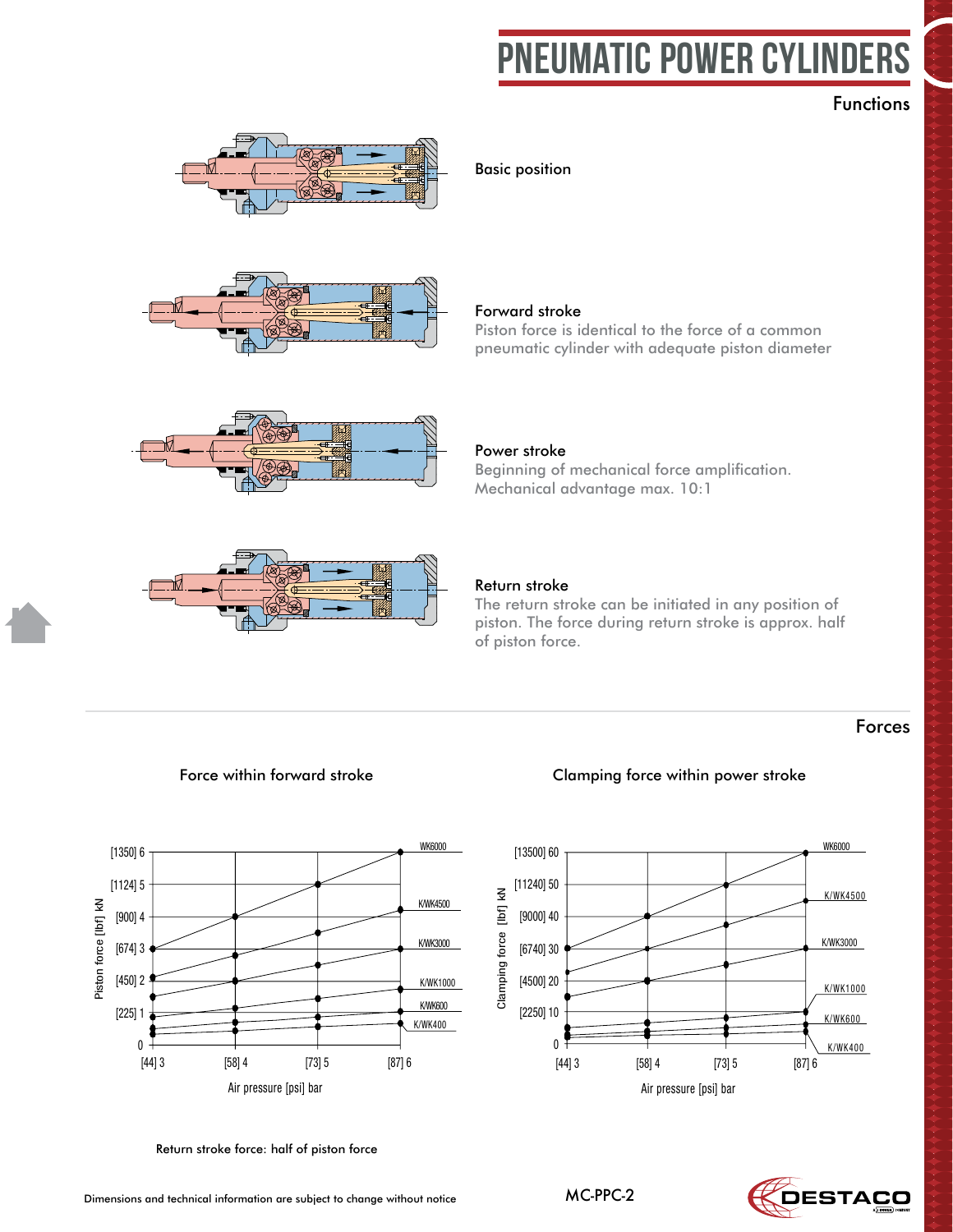# PNEUMATIC POWER CYLINDERS

Gleiche Kraft wie ein konventioneller Pneumatikzy-

# Paneumatika<br>Paneumatika<br>Paneumatika Functions



**Grundstellung** Basic position







Forward stroke

Beginning of mechanical force amplification. Power stroke Mechanical advantage max. 10:1

Piston force is identical to the force of a common

pneumatic cylinder with adequate piston diameter

#### Return stroke

Der Rückhub kann in jeder beliebigen Kolbenstel-The return stroke can be initiated in any position of piston. The force during return stroke is approx. half<br>of niston force of piston force.

### Forces



Return stroke force: half of piston force

### Force within forward stroke Clamping force within power stroke

Magnetfeldabfragung



Dimensions and technical information are subject to change without notice

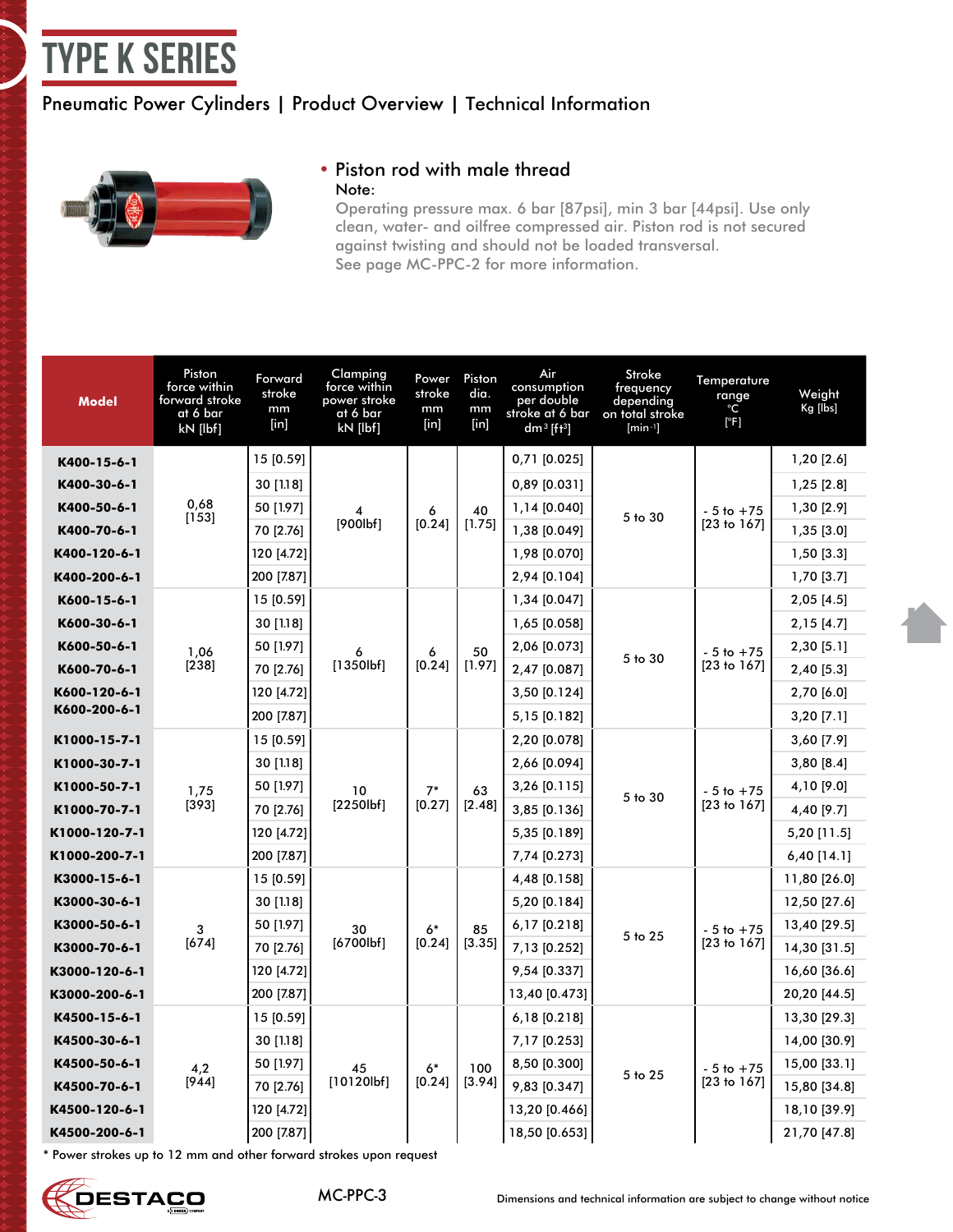# <span id="page-2-0"></span>type K Series

# Pneumatic Power Cylinders | Product Overview | Technical Information



#### • Piston rod with male thread Note:

Operating pressure max. 6 bar [87psi], min 3 bar [44psi]. Use only clean, water- and oilfree compressed air. Piston rod is not secured against twisting and should not be loaded transversal. See page MC-PPC-2 for more information.

| <b>Model</b>  | Piston<br>force within<br>forward stroke<br>at 6 bar<br>kN [lbf] | Forward<br>stroke<br>mm<br>[in] | Clamping<br>force within<br>power stroke<br>at 6 bar<br>kN [lbf] | Power<br>stroke<br>mm<br>$[$ in] | Piston<br>dia.<br>mm<br>$[$ in] | Air<br>consumption<br>per double<br>stroke at 6 bar<br>dm <sup>3</sup> [ft <sup>3</sup> ] | Stroke<br>frequency<br>depending<br>on total stroke<br>$[min^{-1}]$ | Temperature<br>range<br>°C<br>[°F] | Weight<br>Kg [lbs] |
|---------------|------------------------------------------------------------------|---------------------------------|------------------------------------------------------------------|----------------------------------|---------------------------------|-------------------------------------------------------------------------------------------|---------------------------------------------------------------------|------------------------------------|--------------------|
| K400-15-6-1   |                                                                  | 15 [0.59]                       |                                                                  |                                  |                                 | 0,71 [0.025]                                                                              |                                                                     |                                    | 1,20 [2.6]         |
| K400-30-6-1   |                                                                  | 30 [1.18]                       |                                                                  |                                  |                                 | 0,89 [0.031]                                                                              |                                                                     |                                    | 1,25 [2.8]         |
| K400-50-6-1   | 0,68<br>[153]                                                    | 50 [1.97]                       |                                                                  | 6                                | 40                              | 1,14 [0.040]                                                                              | 5 to 30                                                             | $-5$ to $+75$                      | 1,30 [2.9]         |
| K400-70-6-1   |                                                                  | 70 [2.76]                       | [900lbf]                                                         | [0.24]                           | [1.75]                          | 1,38 [0.049]                                                                              |                                                                     | [23 to 167]                        | 1,35 [3.0]         |
| K400-120-6-1  |                                                                  | 120 [4.72]                      |                                                                  |                                  |                                 | 1,98 [0.070]                                                                              |                                                                     |                                    | $1,50$ [3.3]       |
| K400-200-6-1  |                                                                  | 200 [7.87]                      |                                                                  |                                  |                                 | 2,94 [0.104]                                                                              |                                                                     |                                    | $1,70$ [3.7]       |
| K600-15-6-1   |                                                                  | 15 [0.59]                       |                                                                  |                                  |                                 | 1,34 [0.047]                                                                              |                                                                     |                                    | 2,05 [4.5]         |
| K600-30-6-1   |                                                                  | 30 [1.18]                       |                                                                  |                                  |                                 | 1,65 [0.058]                                                                              |                                                                     |                                    | $2,15$ [4.7]       |
| K600-50-6-1   | 1,06                                                             | 50 [1.97]                       | 6                                                                | 6<br>[0.24]                      | 50                              | 2,06 [0.073]                                                                              | 5 to 30                                                             | $-5$ to $+75$                      | 2,30 [5.1]         |
| K600-70-6-1   | [238]                                                            | 70 [2.76]                       | [1350lbf]                                                        |                                  | [1.97]                          | 2,47 [0.087]                                                                              |                                                                     | [23 to 167]                        | 2,40 [5.3]         |
| K600-120-6-1  |                                                                  | 120 [4.72]                      |                                                                  |                                  |                                 | 3,50 [0.124]                                                                              |                                                                     |                                    | 2,70 [6.0]         |
| K600-200-6-1  |                                                                  | 200 [7.87]                      |                                                                  |                                  |                                 | 5,15 [0.182]                                                                              |                                                                     |                                    | $3,20$ [7.1]       |
| K1000-15-7-1  |                                                                  | 15 [0.59]                       |                                                                  |                                  |                                 | 2,20 [0.078]                                                                              |                                                                     |                                    | 3,60 [7.9]         |
| K1000-30-7-1  |                                                                  | 2,66 [0.094]<br>30 [1.18]       |                                                                  |                                  | 3,80 [8.4]                      |                                                                                           |                                                                     |                                    |                    |
| K1000-50-7-1  | 1,75                                                             | 50 [1.97]                       | 10                                                               | $7*$                             | 63                              | 3,26 [0.115]                                                                              | 5 to 30                                                             | $-5$ to $+75$                      | 4,10 [9.0]         |
| K1000-70-7-1  | [393]                                                            | 70 [2.76]                       | [2250]                                                           | [0.27]                           | [2.48]                          | 3,85 [0.136]                                                                              |                                                                     | [23 to 167]                        | 4,40 [9.7]         |
| K1000-120-7-1 |                                                                  | 120 [4.72]                      |                                                                  |                                  |                                 | 5,35 [0.189]                                                                              |                                                                     |                                    | 5,20 [11.5]        |
| K1000-200-7-1 |                                                                  | 200 [7.87]                      |                                                                  |                                  |                                 | 7,74 [0.273]                                                                              |                                                                     |                                    | $6,40$ [14.1]      |
| K3000-15-6-1  |                                                                  | 15 [0.59]                       |                                                                  |                                  |                                 | 4,48 [0.158]                                                                              |                                                                     |                                    | 11,80 [26.0]       |
| K3000-30-6-1  |                                                                  | 30 [1.18]                       |                                                                  |                                  |                                 | 5,20 [0.184]                                                                              |                                                                     |                                    | 12,50 [27.6]       |
| K3000-50-6-1  | 3                                                                | 50 [1.97]                       | 30                                                               | $6*$                             | 85                              | 6,17 [0.218]                                                                              | 5 to 25                                                             | $-5$ to $+75$                      | 13,40 [29.5]       |
| K3000-70-6-1  | [674]                                                            | 70 [2.76]                       | [6700lbf]                                                        | [0.24]                           | [3.35]                          | 7,13 [0.252]                                                                              |                                                                     | [23 to 167]                        | 14,30 [31.5]       |
| K3000-120-6-1 |                                                                  | 120 [4.72]                      |                                                                  |                                  |                                 | 9,54 [0.337]                                                                              |                                                                     |                                    | 16,60 [36.6]       |
| K3000-200-6-1 |                                                                  | 200 [7.87]                      |                                                                  |                                  |                                 | 13,40 [0.473]                                                                             |                                                                     |                                    | 20,20 [44.5]       |
| K4500-15-6-1  |                                                                  | 15 [0.59]                       |                                                                  |                                  |                                 | 6,18 [0.218]                                                                              |                                                                     |                                    | 13,30 [29.3]       |
| K4500-30-6-1  |                                                                  | 30 [1.18]                       |                                                                  |                                  |                                 | 7,17 [0.253]                                                                              |                                                                     |                                    | 14,00 [30.9]       |
| K4500-50-6-1  | 4,2                                                              | 50 [1.97]                       | 45                                                               | 6*                               | 100                             | 8,50 [0.300]                                                                              | 5 to 25                                                             | $-5$ to $+75$                      | 15,00 [33.1]       |
| K4500-70-6-1  | [944]                                                            | 70 [2.76]                       | [10120]                                                          | [0.24]                           | [3.94]                          | 9,83 [0.347]                                                                              |                                                                     | [23 to 167]                        | 15,80 [34.8]       |
| K4500-120-6-1 |                                                                  | 120 [4.72]                      |                                                                  |                                  |                                 | 13,20 [0.466]                                                                             |                                                                     |                                    | 18,10 [39.9]       |
| K4500-200-6-1 |                                                                  | 200 [7.87]                      |                                                                  |                                  |                                 | 18,50 [0.653]                                                                             |                                                                     |                                    | 21,70 [47.8]       |

\* Power strokes up to 12 mm and other forward strokes upon request

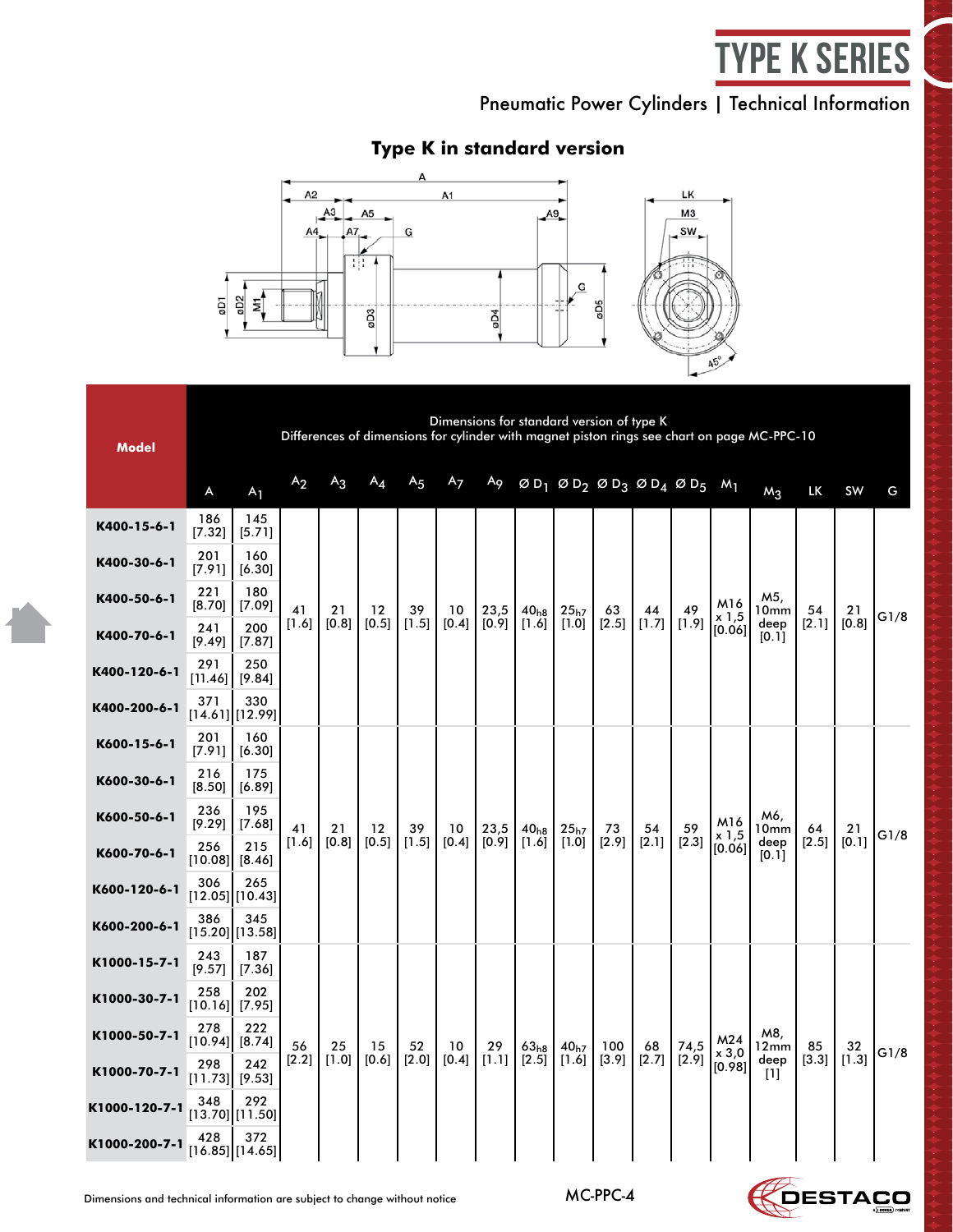# type K Series

Pneumatic Power Cylinders | Technical Information

# **Type K in standard version**



| <b>Model</b>  |                | Dimensions for standard version of type K<br>Differences of dimensions for cylinder with magnet piston rings see chart on page MC-PPC-10 |                |                |         |                |                |       |                  |                  |                                          |       |         |                 |               |           |       |      |
|---------------|----------------|------------------------------------------------------------------------------------------------------------------------------------------|----------------|----------------|---------|----------------|----------------|-------|------------------|------------------|------------------------------------------|-------|---------|-----------------|---------------|-----------|-------|------|
|               | A              | A <sub>1</sub>                                                                                                                           | A <sub>2</sub> | A <sub>3</sub> | $A_4$   | A <sub>5</sub> | A <sub>7</sub> | Ag    |                  |                  | $ØD_1$ $ØD_2$ $ØD_3$ $ØD_4$ $ØD_5$ $M_1$ |       |         |                 | $M_3$         | <b>LK</b> | SW    | G    |
| K400-15-6-1   | 186<br>[7.32]  | 145<br>[5.71]                                                                                                                            |                |                |         |                |                |       |                  |                  |                                          |       |         |                 |               |           |       |      |
| K400-30-6-1   | 201<br>[7.91]  | 160<br>[6.30]                                                                                                                            |                |                |         |                |                |       |                  |                  |                                          |       |         |                 |               |           |       | G1/8 |
| K400-50-6-1   | 221<br>[8.70]  | 180<br>[7.09]                                                                                                                            | 41             | 21             | $12 \,$ | 39             | 10             | 23,5  | 40 <sub>h8</sub> | 25 <sub>h7</sub> | 63                                       | 44    | 49      | M16<br>x 1,5    | M5,<br>10mm   | 54        | 21    |      |
| K400-70-6-1   | 241<br>[9.49]  | 200<br>[7.87]                                                                                                                            | $[1.6]$        | [0.8]          | $[0.5]$ | $[1.5]$        | $[0.4]$        | [0.9] | [1.6]            | $[1.0]$          | [2.5]                                    | [1.7] | [1.9]   | [0.06]          | deep<br>[0.1] | [2.1]     | [0.8] |      |
| K400-120-6-1  | 291<br>[11.46] | 250<br>[9.84]                                                                                                                            |                |                |         |                |                |       |                  |                  |                                          |       |         |                 |               |           |       |      |
| K400-200-6-1  | 371            | 330<br>[14.61][12.99]                                                                                                                    |                |                |         |                |                |       |                  |                  |                                          |       |         |                 |               |           |       |      |
| K600-15-6-1   | 201<br>[7.91]  | 160<br>[6.30]                                                                                                                            |                |                |         |                |                |       |                  |                  |                                          |       |         |                 |               |           |       |      |
| K600-30-6-1   | 216<br>[8.50]  | 175<br>[6.89]                                                                                                                            |                |                | $12 \,$ |                |                |       |                  |                  |                                          |       |         |                 |               |           | 21    |      |
| K600-50-6-1   | 236<br>[9.29]  | 195<br>[7.68]                                                                                                                            | 41             | 21             |         | 39             | 10             | 23,5  | 40 <sub>h8</sub> | 25 <sub>h7</sub> | 73                                       | 54    | 59      | M16<br>$x$ 1,5  | M6,<br>10mm   | 64        |       | G1/8 |
| K600-70-6-1   | 256<br>[10.08] | 215<br>[8.46]                                                                                                                            | [1.6]          | [0.8]          | [0.5]   | [1.5]          | [0.4]          | [0.9] | [1.6]            | $[1.0]$          | [2.9]                                    | [2.1] | $[2.3]$ | [0.06]          | deep<br>[0.1] | [2.5]     | [0.1] |      |
| K600-120-6-1  | 306            | 265<br>$[12.05]$ [10.43]                                                                                                                 |                |                |         |                |                |       |                  |                  |                                          |       |         |                 |               |           |       |      |
| K600-200-6-1  | 386            | 345<br>[15.20][13.58]                                                                                                                    |                |                |         |                |                |       |                  |                  |                                          |       |         |                 |               |           |       |      |
| K1000-15-7-1  | 243<br>[9.57]  | 187<br>[7.36]                                                                                                                            |                |                |         |                |                |       |                  |                  |                                          |       |         |                 |               |           |       |      |
| K1000-30-7-1  | 258<br>[10.16] | 202<br>[7.95]                                                                                                                            |                |                |         |                |                |       |                  |                  |                                          |       |         |                 |               |           |       |      |
| K1000-50-7-1  | 278<br>[10.94] | 222<br>[8.74]                                                                                                                            | 56             | 25             | 15      | 52             | 10             | 29    | 63 <sub>h8</sub> | 40 <sub>h7</sub> | 100                                      | 68    | 74,5    | M24             | M8,<br>12mm   | 85        | 32    | G1/8 |
| K1000-70-7-1  | 298<br>[11.73] | 242<br>[9.53]                                                                                                                            | [2.2]          | $[1.0]$        | [0.6]   | [2.0]          | [0.4]          | [1.1] | [2.5]            | $[1.6]$          | $[3.9]$                                  | [2.7] | [2.9]   | x 3,0<br>[0.98] | deep<br>$[1]$ | $[3.3]$   | [1.3] |      |
| K1000-120-7-1 | 348            | 292<br>[13.70][11.50]                                                                                                                    |                |                |         |                |                |       |                  |                  |                                          |       |         |                 |               |           |       |      |
| K1000-200-7-1 | 428            | 372<br>[16.85][14.65]                                                                                                                    |                |                |         |                |                |       |                  |                  |                                          |       |         |                 |               |           |       |      |

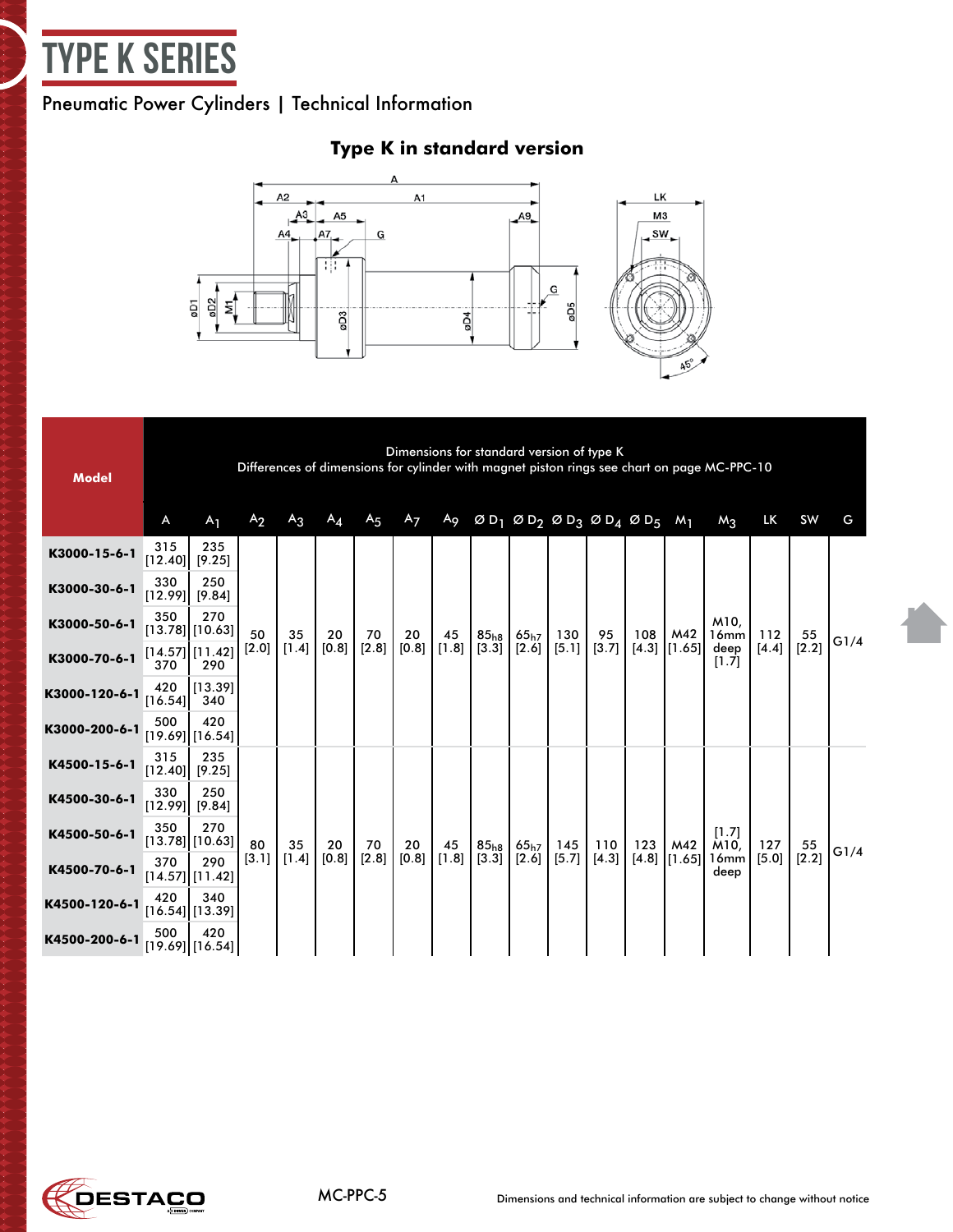

# Pneumatic Power Cylinders | Technical Information



# **Type K in standard version**

| <b>Model</b>  |                  | Dimensions for standard version of type K<br>Differences of dimensions for cylinder with magnet piston rings see chart on page MC-PPC-10<br>$ØD_1$ $ØD_2$ $ØD_3$ $ØD_4$ $ØD_5$ $M_1$ |                |       |                   |                |                |             |                           |                 |              |             |     |                         |                               |                |             |      |
|---------------|------------------|--------------------------------------------------------------------------------------------------------------------------------------------------------------------------------------|----------------|-------|-------------------|----------------|----------------|-------------|---------------------------|-----------------|--------------|-------------|-----|-------------------------|-------------------------------|----------------|-------------|------|
|               | A                | A <sub>1</sub>                                                                                                                                                                       | A <sub>2</sub> | $A_3$ | $A_{\mathcal{A}}$ | A <sub>5</sub> | A <sub>7</sub> | Ag          |                           |                 |              |             |     |                         | $M_3$                         | LK             | SW          | G    |
| K3000-15-6-1  | 315<br>[12.40]   | 235<br>[9.25]                                                                                                                                                                        |                |       |                   |                |                |             |                           |                 |              |             |     |                         |                               |                |             |      |
| K3000-30-6-1  | 330<br>[12.99]   | 250<br>[9.84]                                                                                                                                                                        |                |       |                   |                |                |             |                           |                 |              |             |     |                         |                               |                |             |      |
| K3000-50-6-1  | 350              | 270<br>[13.78][10.63]                                                                                                                                                                | 50             | 35    | 20<br>[0.8]       | 70<br>[2.8]    | 20             | 45<br>[1.8] | 85 <sub>h8</sub><br>[3.3] | 65h7<br>$[2.6]$ | 130<br>[5.1] | 95<br>[3.7] | 108 | M42<br>$[4.3]$ $[1.65]$ | M10.<br>16mm<br>deep<br>[1.7] | 112<br>$[4.4]$ | 55<br>[2.2] | G1/4 |
| K3000-70-6-1  | 370              | [14.57][11.42]<br>290                                                                                                                                                                | [2.0]          | [1.4] |                   |                | [0.8]          |             |                           |                 |              |             |     |                         |                               |                |             |      |
| K3000-120-6-1 | 420<br>$[16.54]$ | [113.39]<br>340                                                                                                                                                                      |                |       |                   |                |                |             |                           |                 |              |             |     |                         |                               |                |             |      |
| K3000-200-6-1 | 500              | 420<br>$[19.69]$ [16.54]                                                                                                                                                             |                |       |                   |                |                |             |                           |                 |              |             |     |                         |                               |                |             |      |
| K4500-15-6-1  | 315              | 235<br>$[12.40]$ [9.25]                                                                                                                                                              |                |       |                   |                |                |             |                           |                 |              |             |     |                         |                               |                |             |      |
| K4500-30-6-1  | 330              | 250<br>$[12.99]$ [9.84]                                                                                                                                                              |                |       |                   |                |                |             |                           |                 |              |             |     |                         |                               |                |             |      |
| K4500-50-6-1  | 350              | 270<br>[13.78][10.63]                                                                                                                                                                | 80             | 35    | 20                | 70             | 20             | 45          | 85 <sub>h8</sub>          | 65h7            | 145          | 110         | 123 | M42                     | [1.7]<br>M10,                 | 127            | 55          | G1/4 |
| K4500-70-6-1  | 370              | 290<br>$[14.57]$ [11.42]                                                                                                                                                             | [3.1]          | [1.4] | [0.8]             | [2.8]          | [0.8]          | [1.8]       | [3.3]                     | $[2.6]$         | [5.7]        | [4.3]       |     | $[4.8]$ $[1.65]$        | 16mm<br>deep                  | [5.0]          | [2.2]       |      |
| K4500-120-6-1 | 420              | 340<br>[16.54][13.39]                                                                                                                                                                |                |       |                   |                |                |             |                           |                 |              |             |     |                         |                               |                |             |      |
| K4500-200-6-1 | 500              | 420<br>$[19.69]$ [16.54]]                                                                                                                                                            |                |       |                   |                |                |             |                           |                 |              |             |     |                         |                               |                |             |      |

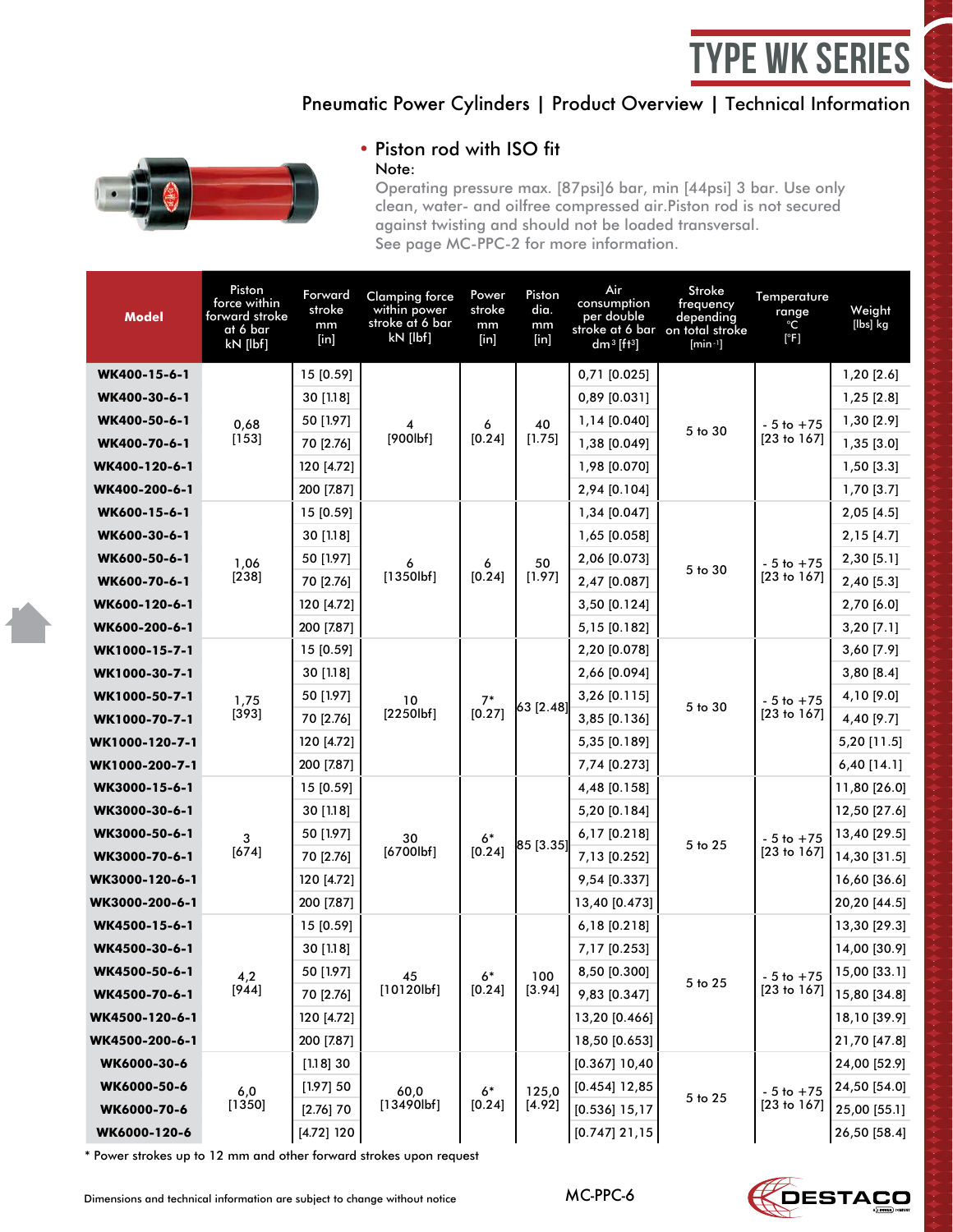# type WK Series

### Pneumatic Power Cylinders | Product Overview | Technical Information



#### • Piston rod with ISO fit Note:

Operating pressure max. [87psi]6 bar, min [44psi] 3 bar. Use only clean, water- and oilfree compressed air.Piston rod is not secured against twisting and should not be loaded transversal. See page MC-PPC-2 for more information.

| Model          | Piston<br>force within<br>forward stroke<br>at 6 bar<br>kN [lbf] | Forward<br>stroke<br>mm<br>$[$ in] | <b>Clamping force</b><br>within power<br>stroke at 6 bar<br>kN [lbf] | Power<br>stroke<br>mm<br>$[$ in] | Piston<br>dia.<br>mm<br>[in] | Air<br>consumption<br>per double<br>$dm^3$ [ft <sup>3</sup> ] | Stroke<br>frequency<br>depending<br>stroke at 6 bar on total stroke<br>$[min^{-1}]$ | Temperature<br>range<br>°С<br>[°F] | Weight<br>[lbs] kg                   |              |
|----------------|------------------------------------------------------------------|------------------------------------|----------------------------------------------------------------------|----------------------------------|------------------------------|---------------------------------------------------------------|-------------------------------------------------------------------------------------|------------------------------------|--------------------------------------|--------------|
| WK400-15-6-1   |                                                                  | 15 [0.59]                          |                                                                      |                                  |                              | 0,71 [0.025]                                                  |                                                                                     |                                    | $1,20$ [2.6]                         |              |
| WK400-30-6-1   |                                                                  | 30 [1.18]                          |                                                                      |                                  |                              | 0,89 [0.031]                                                  |                                                                                     |                                    | $1,25$ [2.8]                         |              |
| WK400-50-6-1   | 0,68                                                             | 50 [1.97]                          |                                                                      | 6                                | 40                           | 1,14 [0.040]                                                  |                                                                                     | $-5$ to $+75$                      | 1,30 [2.9]                           |              |
| WK400-70-6-1   | $[153]$                                                          | 70 [2.76]                          | [900lbf]                                                             | [0.24]                           | [1.75]                       | 1,38 [0.049]                                                  | 5 to 30                                                                             | [23 to 167]                        | 1,35 [3.0]                           |              |
| WK400-120-6-1  |                                                                  | 120 [4.72]                         |                                                                      |                                  |                              | 1,98 [0.070]                                                  |                                                                                     |                                    | $1,50$ [3.3]                         |              |
| WK400-200-6-1  |                                                                  | 200 [7.87]                         |                                                                      |                                  |                              | 2,94 [0.104]                                                  |                                                                                     |                                    | $1,70$ [3.7]                         |              |
| WK600-15-6-1   |                                                                  | 15 [0.59]                          |                                                                      |                                  |                              | 1,34 [0.047]                                                  |                                                                                     | $-5$ to $+75$<br>[23 to 167]       | $2,05$ [4.5]                         |              |
| WK600-30-6-1   |                                                                  | 30 [1.18]                          |                                                                      |                                  |                              | 1,65 [0.058]                                                  |                                                                                     |                                    | 2,15 [4.7]                           |              |
| WK600-50-6-1   | 1,06                                                             | 50 [1.97]                          | 6                                                                    | 6                                | 50                           | 2,06 [0.073]                                                  | 5 to 30                                                                             |                                    | 2,30 [5.1]                           |              |
| WK600-70-6-1   | [238]                                                            | 70 [2.76]                          | [1350lbf]                                                            | [0.24]                           | [1.97]                       | 2,47 [0.087]                                                  |                                                                                     |                                    | 2,40 [5.3]                           |              |
| WK600-120-6-1  |                                                                  | 120 [4.72]                         |                                                                      |                                  |                              | 3,50 [0.124]                                                  |                                                                                     |                                    | 2,70 [6.0]                           |              |
| WK600-200-6-1  |                                                                  | 200 [7.87]                         |                                                                      |                                  |                              | 5,15 [0.182]                                                  |                                                                                     |                                    | $3,20$ [7.1]                         |              |
| WK1000-15-7-1  |                                                                  | 15 [0.59]                          |                                                                      |                                  |                              | 2,20 [0.078]                                                  |                                                                                     |                                    | 3,60 [7.9]                           |              |
| WK1000-30-7-1  |                                                                  | 30 [1.18]                          |                                                                      |                                  |                              | 2,66 [0.094]                                                  | 5 to 30                                                                             | $-5$ to $+75$<br>[23 to 167]       | 3,80[8.4]                            |              |
| WK1000-50-7-1  | 1,75                                                             | 50 [1.97]                          | 10<br>$[2250$                                                        | $7*$<br>[0.27]                   | 63 [2.48]                    | 3,26 [0.115]                                                  |                                                                                     |                                    | 4,10 [9.0]                           |              |
| WK1000-70-7-1  | [393]                                                            | 70 [2.76]                          |                                                                      |                                  |                              | 3,85 [0.136]                                                  |                                                                                     |                                    | 4,40 [9.7]                           |              |
| WK1000-120-7-1 |                                                                  | 120 [4.72]                         |                                                                      |                                  |                              | 5,35 [0.189]                                                  |                                                                                     |                                    | 5,20 [11.5]                          |              |
| WK1000-200-7-1 |                                                                  | 200 [7.87]                         |                                                                      |                                  |                              | 7,74 [0.273]                                                  |                                                                                     |                                    | $6,40$ [14.1]                        |              |
| WK3000-15-6-1  |                                                                  | 15 [0.59]                          |                                                                      |                                  |                              | 4,48 [0.158]                                                  |                                                                                     |                                    | 11,80 [26.0]                         |              |
| WK3000-30-6-1  |                                                                  | 30 [1.18]                          |                                                                      |                                  |                              | 5,20 [0.184]                                                  |                                                                                     |                                    | 12,50 [27.6]                         |              |
| WK3000-50-6-1  | 3                                                                | 50 [1.97]                          | 30                                                                   | 6*                               | 85 [3.35]                    | 6,17 [0.218]                                                  | 5 to 25                                                                             | $-5$ to $+75$                      | 13,40 [29.5]                         |              |
| WK3000-70-6-1  | $[674]$                                                          | 70 [2.76]                          | [6700lbf]                                                            | [0.24]                           |                              | 7,13 [0.252]                                                  |                                                                                     | [23 to 167]                        | 14,30 [31.5]                         |              |
| WK3000-120-6-1 |                                                                  | 120 [4.72]                         |                                                                      |                                  |                              | 9,54 [0.337]                                                  |                                                                                     |                                    | 16,60 [36.6]                         |              |
| WK3000-200-6-1 |                                                                  | 200 [7.87]                         |                                                                      |                                  |                              | 13,40 [0.473]                                                 |                                                                                     |                                    | 20,20 [44.5]                         |              |
| WK4500-15-6-1  |                                                                  | 15 [0.59]                          |                                                                      |                                  |                              | 6,18 [0.218]                                                  |                                                                                     |                                    | 13,30 [29.3]                         |              |
| WK4500-30-6-1  |                                                                  | 30 [1.18]                          |                                                                      |                                  |                              | 7,17 [0.253]                                                  |                                                                                     |                                    | 14,00 [30.9]                         |              |
| WK4500-50-6-1  | 4,2                                                              | 50 [1.97]                          | 45                                                                   | 61                               | 100                          | 8,50 [0.300]                                                  | 5 to 25                                                                             |                                    | $-5$ to $+75$ $\boxed{15,00}$ [33.1] |              |
| WK4500-70-6-1  | $[944]$                                                          | 70 [2.76]                          | [10120lbf]                                                           | [0.24]                           | [3.94]                       | 9,83 [0.347]                                                  |                                                                                     | [23 to 167]                        | 15,80 [34.8]                         |              |
| WK4500-120-6-1 |                                                                  | 120 [4.72]                         |                                                                      |                                  |                              | 13,20 [0.466]                                                 |                                                                                     |                                    | 18,10 [39.9]                         |              |
| WK4500-200-6-1 |                                                                  | 200 [7.87]                         |                                                                      |                                  |                              | 18,50 [0.653]                                                 |                                                                                     |                                    | 21,70 [47.8]                         |              |
| WK6000-30-6    |                                                                  | [1.18]30                           |                                                                      |                                  |                              | $[0.367]$ 10,40                                               |                                                                                     |                                    | 24,00 [52.9]                         |              |
| WK6000-50-6    | 6,0                                                              | [1.97] 50                          | 60,0                                                                 | $6*$                             | 125,0                        | $[0.454]$ 12,85                                               | 5 to 25                                                                             | $-5$ to $+75$                      | 24,50 [54.0]                         |              |
| WK6000-70-6    | [1350]                                                           | $[2.76]$ 70                        | [13490]                                                              | [0.24]                           | [4.92]                       | $[0.536]$ 15,17                                               |                                                                                     | $[23$ to $167]$                    | 25,00 [55.1]                         |              |
| WK6000-120-6   |                                                                  | $[4.72]$ 120                       |                                                                      |                                  |                              |                                                               | $[0.747]$ 21,15                                                                     |                                    |                                      | 26,50 [58.4] |

\* Power strokes up to 12 mm and other forward strokes upon request

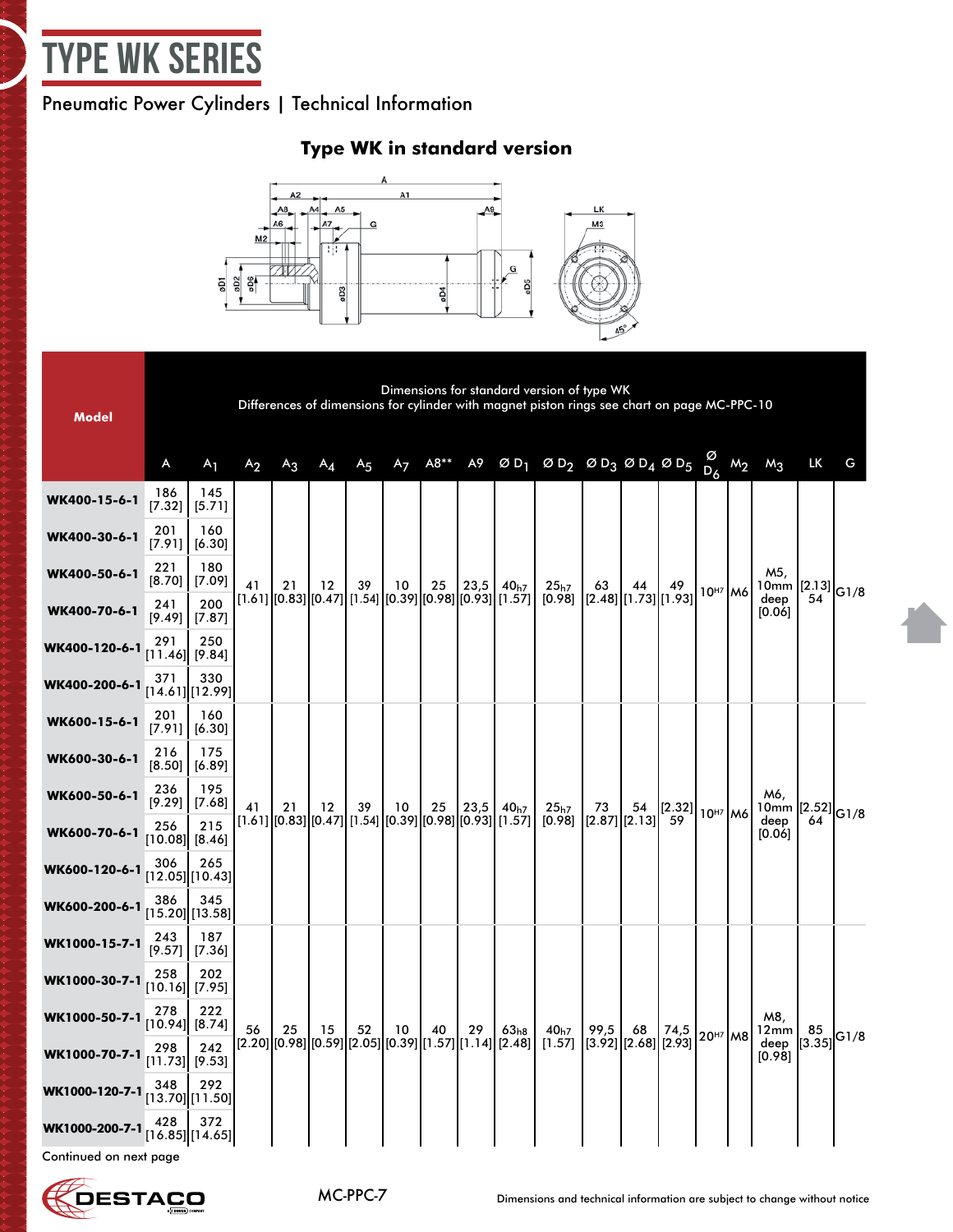# <span id="page-6-0"></span>type WK Series

### Pneumatic Power Cylinders | Technical Information

### **Type WK in standard version**



**Model** Dimensions for standard version of type WK Differences of dimensions for cylinder with magnet piston rings see chart on page MC-PPC-10 A  $A_1$   $A_2$   $A_3$   $A_4$   $A_5$   $A_7$   $A8^{**}$   $A9$   $\emptyset$   $D_1$   $\emptyset$   $D_2$   $\emptyset$   $D_3$   $\emptyset$   $D_4$   $\emptyset$   $D_5$   $D_6$  $D_6$  M<sub>2</sub> M<sub>3</sub> LK G **WK400-15-6-1** 186 [7.32] 145 [5.71] 41 [1.61] [0.83] [0.47] [1.54] [0.39] [0.98] [0.93] [1.57] 21 12 39 10 25  $|23,5|$ 40h7 25h7  $[0.98]$ 63 [2.48] [1.73] 44 49  $|10^{H7}|$ M6 M5, 10mm deep [0.06]  $\begin{matrix} [2.13] \ 54 \end{matrix}$ G1/8 **WK400-30-6-1** <sup>201</sup>  $[7.91]$ 160 [6.30] **WK400-50-6-1** <sup>221</sup> [8.70] 180 [7.09] **WK400-70-6-1** <sup>241</sup> [9.49] 200 [7.87] **WK400-120-6-1** <sup>291</sup> [11.46] 250 [9.84] **WK400-200-6-1** <sup>371</sup> [14.61] 330 [12.99] **WK600-15-6-1** <sup>201</sup> [7.91] 160 [6.30] 41 [1.61] 21 [0.83] 12 39 | 12<br>1.54]|[0.47 [1.54] 10 [0.39] 25 [0.98] 23,5  $\begin{bmatrix} 23.5 & 40_{h7} \\ 0.93 & 1.57 \end{bmatrix}$ 25h7 [0.98] 73 [2.87] [2.13] 54  $\begin{array}{|c|c|}\n 2.32 \\
\hline\n 59\n \end{array}$  10<sup>H7</sup> M6 M6, 10mm [2.52] deep [0.06]  $\frac{2.52}{64}$ G1/8 **WK600-30-6-1** <sup>216</sup> [8.50] 175 [6.89] **WK600-50-6-1** <sup>236</sup> [9.29] 195 [7.68] **WK600-70-6-1** <sup>256</sup> [10.08] 215 [8.46] **WK600-120-6-1** <sup>306</sup> [12.05] 265 [10.43] **WK600-200-6-1** <sup>386</sup> [15.20] 345 [13.58] **WK1000-15-7-1** 243 187 [7.36] 56 [2.20] [0.98] [0.59] [2.05] [0.39] [1.57] [1.14] [2.48] 25 15 52 10 40 29 63h8 40h7  $[1.57]$ 99,5 [3.92] [2.68] 68 74,5 20<sup>H7</sup> M8 M8, 12mm deep [0.98] 85  $\begin{bmatrix} 85 \\ 3.35 \end{bmatrix}$  G1/8 **WK1000-30-7-1** <sup>258</sup> [10.16] 202 [7.95] **WK1000-50-7-1** <sup>278</sup> [10.94] 222 [8.74] **WK1000-70-7-1** <sup>298</sup> [11.73] 242 [9.53] **WK1000-120-7-1** <sup>348</sup> [13.70] 292 [11.50] **WK1000-200-7-1** <sup>428</sup> [16.85] 372

Continued on next page



[14.65]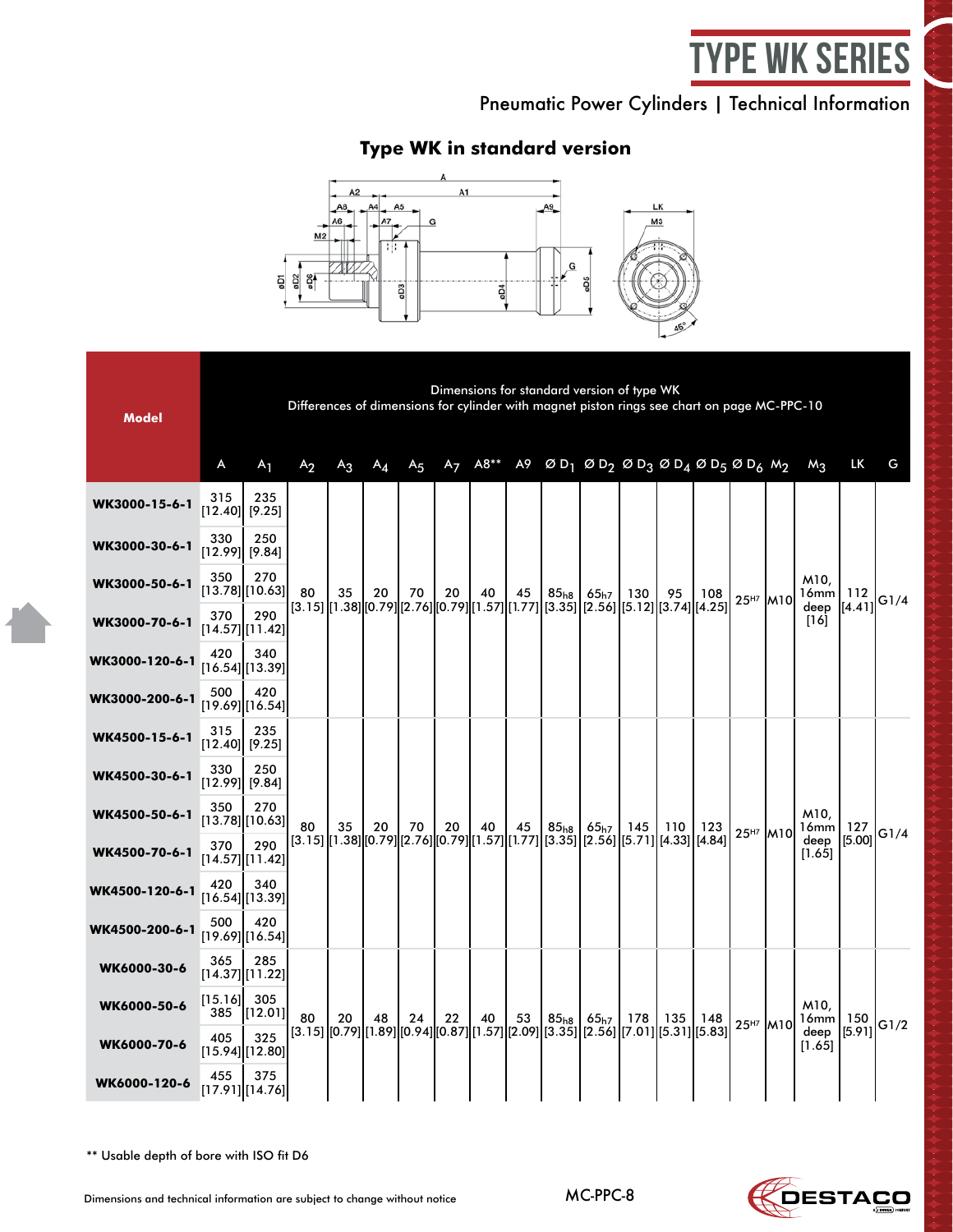# type WK Series

Pneumatic Power Cylinders | Technical Information

# **Type WK in standard version**



| <b>Model</b>   |                         |                            | Differences of dimensions for cylinder with magnet piston rings see chart on page MC-PPC-10 |       |                                                                                                      |                |                |      |    |           | Dimensions for standard version of type WK                                                                        |                                                                                            |                                                                                   |     |                      |  |                      |                        |      |
|----------------|-------------------------|----------------------------|---------------------------------------------------------------------------------------------|-------|------------------------------------------------------------------------------------------------------|----------------|----------------|------|----|-----------|-------------------------------------------------------------------------------------------------------------------|--------------------------------------------------------------------------------------------|-----------------------------------------------------------------------------------|-----|----------------------|--|----------------------|------------------------|------|
|                | A                       | $A_1$                      | A <sub>2</sub>                                                                              | $A_3$ | $A_{\mathcal{A}}$                                                                                    | A <sub>5</sub> | A <sub>7</sub> | A8** |    |           | A9 ØD <sub>1</sub> ØD <sub>2</sub> ØD <sub>3</sub> ØD <sub>4</sub> ØD <sub>5</sub> ØD <sub>6</sub> M <sub>2</sub> |                                                                                            |                                                                                   |     |                      |  | $M_3$                | LK                     | G    |
| WK3000-15-6-1  | 315                     | 235<br>$[12.40]$ [9.25]    |                                                                                             |       |                                                                                                      |                |                |      |    |           |                                                                                                                   |                                                                                            |                                                                                   |     |                      |  |                      |                        |      |
| WK3000-30-6-1  | 330<br>$[12.99]$ [9.84] | 250                        |                                                                                             |       |                                                                                                      |                |                |      |    |           |                                                                                                                   | 130<br>[3.15] [1.38] [0.79] [2.76] [0.79] [1.57] [1.77] [3.35] [2.56] [5.12] [3.74] [4.25] |                                                                                   |     |                      |  |                      |                        |      |
| WK3000-50-6-1  | 350                     | 270<br>[13.78][10.63]      | 80                                                                                          | 35    | 20                                                                                                   | 70             | 20             | 40   | 45 | $85_{h8}$ | $65_{h7}$                                                                                                         |                                                                                            | 95                                                                                | 108 | 25 <sup>H7</sup> M10 |  | M10.<br>$16mm$   112 |                        | G1/4 |
| WK3000-70-6-1  | 370                     | 290<br>$[14.57]$ [11.42]   |                                                                                             |       |                                                                                                      |                |                |      |    |           |                                                                                                                   |                                                                                            |                                                                                   |     |                      |  | deep<br>[16]         | [[4.41]                |      |
| WK3000-120-6-1 | 420                     | 340<br>$[16.54]$ [13.39]   |                                                                                             |       |                                                                                                      |                |                |      |    |           |                                                                                                                   |                                                                                            |                                                                                   |     |                      |  |                      |                        |      |
| WK3000-200-6-1 | 500                     | 420<br>$[19.69]$ [16.54]   |                                                                                             |       |                                                                                                      |                |                |      |    |           |                                                                                                                   |                                                                                            |                                                                                   |     |                      |  |                      |                        |      |
| WK4500-15-6-1  | 315                     | 235<br>$[12.40]$ [9.25]    |                                                                                             |       |                                                                                                      |                |                |      |    |           |                                                                                                                   |                                                                                            |                                                                                   |     |                      |  |                      |                        |      |
| WK4500-30-6-1  | 330                     | 250<br>$[12.99]$ [9.84]    |                                                                                             |       |                                                                                                      | 70             |                |      |    |           | 65 <sub>h7</sub>                                                                                                  | 145                                                                                        |                                                                                   |     |                      |  |                      |                        |      |
| WK4500-50-6-1  | 350                     | 270<br>[13.78][10.63]      | 80                                                                                          | 35    | 20                                                                                                   |                | 20             | 40   | 45 | $85_{h8}$ |                                                                                                                   |                                                                                            | 110<br>$[3.15][1.38][0.79][2.76][0.79][1.57][1.77][3.35][2.56][5.71][4.33][4.84]$ | 123 |                      |  | M10.<br>$16mm$   127 |                        |      |
| WK4500-70-6-1  | 370                     | 290<br>$[14.57]$ $[11.42]$ |                                                                                             |       |                                                                                                      |                |                |      |    |           |                                                                                                                   |                                                                                            |                                                                                   |     | 25 <sup>H7</sup> M10 |  | deep<br>[1.65]       | [5.00]                 | G1/4 |
| WK4500-120-6-1 | 420                     | 340<br>$[16.54]$ [13.39]   |                                                                                             |       |                                                                                                      |                |                |      |    |           |                                                                                                                   |                                                                                            |                                                                                   |     |                      |  |                      |                        |      |
| WK4500-200-6-1 | 500                     | 420<br>$[19.69]$ [16.54]   |                                                                                             |       |                                                                                                      |                |                |      |    |           |                                                                                                                   |                                                                                            |                                                                                   |     |                      |  |                      |                        |      |
| WK6000-30-6    | 365                     | 285<br>[14.37][11.22]      |                                                                                             |       |                                                                                                      |                |                |      |    |           |                                                                                                                   |                                                                                            |                                                                                   |     |                      |  |                      |                        |      |
| WK6000-50-6    | [15.16]<br>385          | 305<br>[12.01]             | 80                                                                                          |       |                                                                                                      |                | 22             | 40   | 53 | $85_{h8}$ | 65 <sub>h7</sub>                                                                                                  | 178                                                                                        | 135                                                                               | 148 |                      |  | M10,                 |                        |      |
| WK6000-70-6    | 405                     | 325<br>[15.94]][12.80]     |                                                                                             | 20    | 48<br>[3.15] [[0.79] [[1.89] [[0.94] [[0.87] [[1.57] [[2.09] [[3.35] [[2.56] [[7.01] [[5.31] [[5.83] | 24             |                |      |    |           |                                                                                                                   |                                                                                            |                                                                                   |     | 25 <sup>H7</sup> M10 |  | deep<br>[1.65]       | $16mm$   150<br>[5.91] | G1/2 |
| WK6000-120-6   | 455                     | 375<br>$[17.91]$ [14.76]   |                                                                                             |       |                                                                                                      |                |                |      |    |           |                                                                                                                   |                                                                                            |                                                                                   |     |                      |  |                      |                        |      |

\*\* Usable depth of bore with ISO fit D6

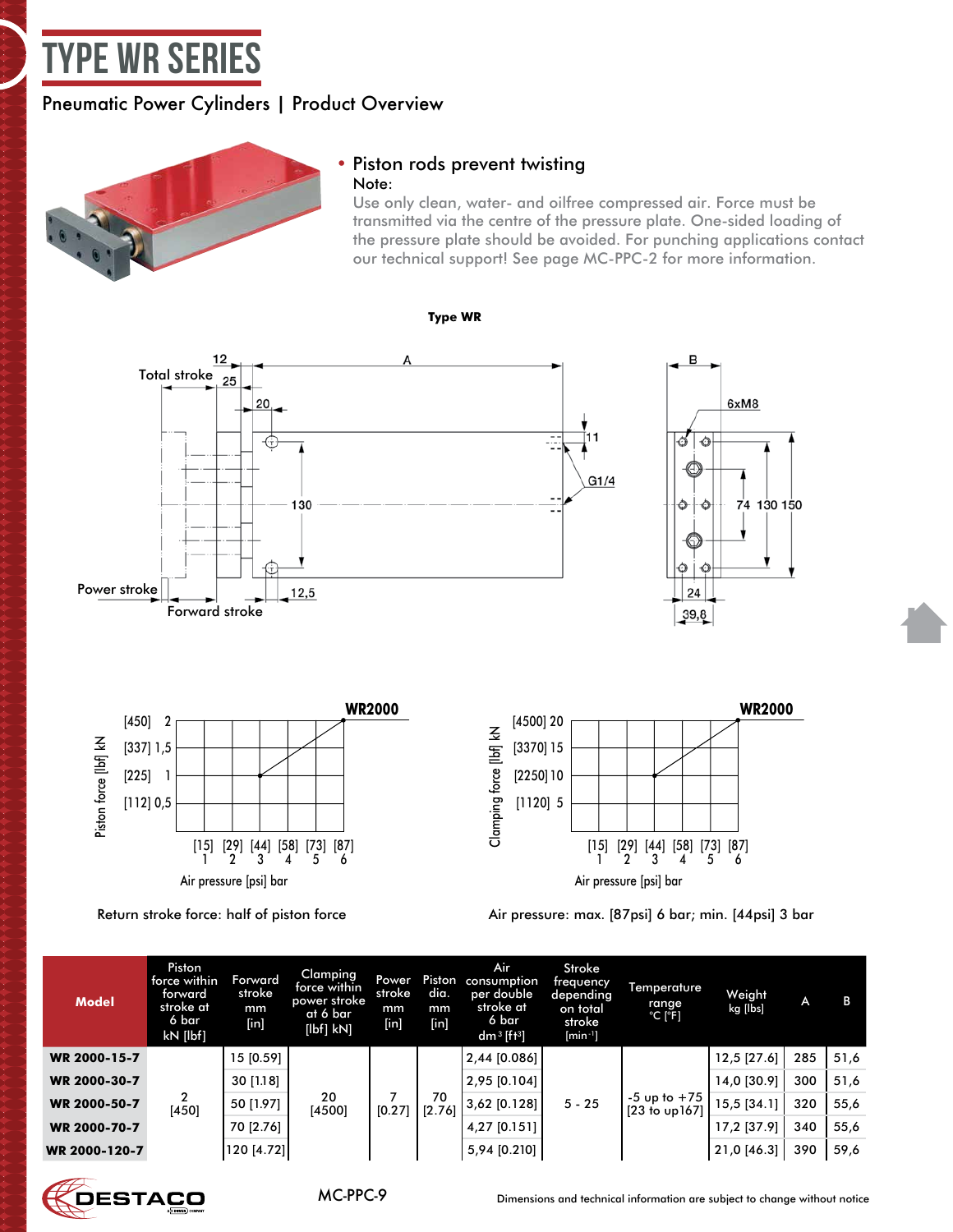# <span id="page-8-0"></span>type WR Series

### Pneumatic Power Cylinders | Product Overview



### • Piston rods prevent twisting Note:

Use only clean, water- and oilfree compressed air. Force must be transmitted via the centre of the pressure plate. One-sided loading of the pressure plate should be avoided. For punching applications contact our technical support! See page MC-PPC-2 for more information.







Return stroke force: half of piston force Air pressure: max. [87psi] 6 bar; min. [44psi] 3 bar

| <b>Model</b>  | Piston<br>force within<br>torward<br>stroke at<br>6 bar<br>kN [lbf] | Forward<br>stroke<br>mm<br>$[$ in] | Clamping<br>force within<br>power stroke<br>at 6 bar<br>[lbf] kN] | <b>Power</b><br>stroke<br>mm<br>[in] | Piston<br>dia.<br>mm<br>[in] | Air<br>consumption<br>per double<br>stroke at<br>6 bar<br>dm <sup>3</sup> [ft <sup>3</sup> ] | Stroke<br>frequency<br>depending<br>on total<br>stroke<br>$[min^{-1}]$ | Temperature<br>range<br>$^{\circ}$ C [ $^{\circ}$ F] | Weight<br>kg [lbs] | A    | в    |
|---------------|---------------------------------------------------------------------|------------------------------------|-------------------------------------------------------------------|--------------------------------------|------------------------------|----------------------------------------------------------------------------------------------|------------------------------------------------------------------------|------------------------------------------------------|--------------------|------|------|
| WR 2000-15-7  |                                                                     | 15 [0.59]                          | 20<br>[4500]<br>[0.27]                                            |                                      | 70<br>$[2.76]$               | $2,44$ [0.086]                                                                               |                                                                        |                                                      | 12,5 [27.6]        | 285  | 51,6 |
| WR 2000-30-7  |                                                                     | 30 [1.18]                          |                                                                   |                                      |                              | $2,95$ [0.104]                                                                               | $5 - 25$                                                               |                                                      | 14,0 [30.9]        | 300  | 51,6 |
| WR 2000-50-7  | [450]                                                               | 50 [1.97]                          |                                                                   |                                      |                              | 3,62 [0.128]                                                                                 |                                                                        | $-5$ up to $+75$<br>$[23$ to up $167]$               | 15,5 [34.1]        | 320  | 55,6 |
| WR 2000-70-7  |                                                                     | 70 [2.76]                          |                                                                   |                                      | $4,27$ [0.151]               |                                                                                              |                                                                        | 17,2 [37.9]                                          | 340                | 55,6 |      |
| WR 2000-120-7 |                                                                     | 120 [4.72]                         |                                                                   |                                      |                              | 5,94 [0.210]                                                                                 |                                                                        |                                                      | 21,0 [46.3]        | 390  | 59,6 |

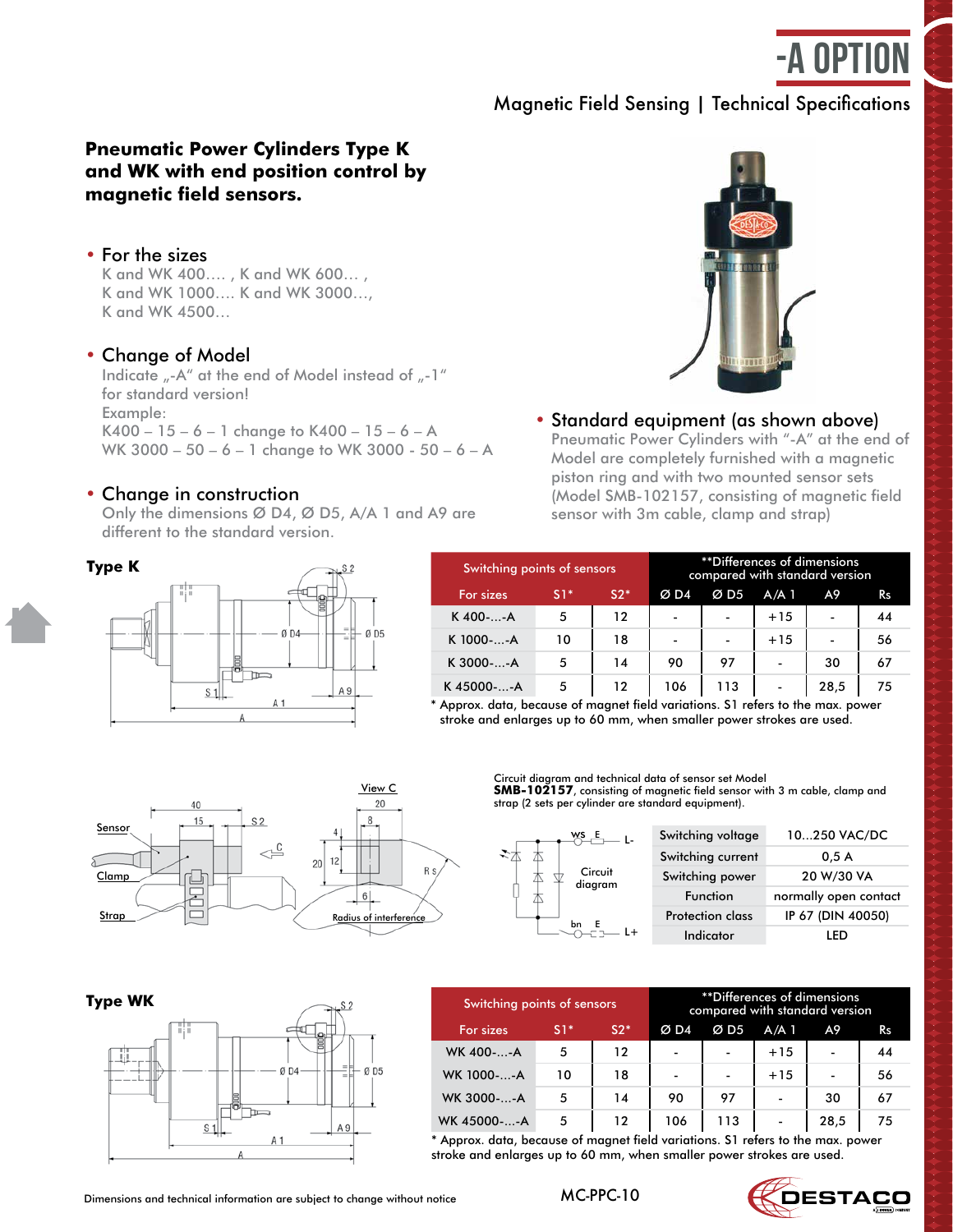-A option

**SMB-102157,** bestehend aus Sensor mit 3 m Kabel, Klemmbock

ca. die Hälfte der Anstellkraft.

lung eingeleitet werden. Die Rückstellkraft beträgt

Technische Daten Maßunterschiede zur Standardausführung siehe Seite 20.4 und

# Magnetic Field Sensing | Technical Specifications

#### **Pneumatik-Kraftzylinder der Bauform K und WK Pneumatic Power Cylinders Type K and WK with end position control by magnetic field sensors.**

#### • For the sizes

■ **für die Größen** k and WK 1000.... K and WK 3000...,<br>K and WK 1000.... K and WK 3000..., K and WK 400…. , K and WK 600… , K and WK 4500…

### • Change of Model

Indicate "-A" at the end of Model instead of "-1" K 400 – 15 – 6 – 1 change to K 400 – 15 – 6 – A WK 3000 – 50 – 6 – 1 change to WK 3000 - 50 – 6 – A for standard version! Example:

### • Change in construction

**Type K**

Only the dimensions Ø D4, Ø D5, A/A 1 and A9 are sensor with  $\frac{1}{2}$ different to the standard version.



### • Standard equipment (as shown above)

**Die Sylinders with -A ame end of the ender Sylinders with -A ame end of the serience of the Model are completely furnished with a magnetic** piston ring and with two mounted sensor sets (Model SMB-102157, consisting of magnetic field Pro Zylinder je 2 Stück Magnetfeldschalter-Sets, Modell-Nr. sensor with 3m cable, clamp and strap) Pneumatic Power Cylinders with "-A" at the end of

| ype K | $\rightarrow$ S2                    |  |
|-------|-------------------------------------|--|
| 88    | B                                   |  |
|       | F.<br>ØD <sub>5</sub><br>ØD4<br>$=$ |  |
|       | m<br>h۳                             |  |
|       | A9<br>S<br>A 1                      |  |
|       |                                     |  |

| $N_S^S$                     | Switching points of sensors |       |       |                |                          | **Differences of dimensions<br>compared with standard version |                          |    |
|-----------------------------|-----------------------------|-------|-------|----------------|--------------------------|---------------------------------------------------------------|--------------------------|----|
|                             | For sizes                   | $S1*$ | $S2*$ | ØD4            | ØD5                      | $A/A$ 1                                                       | A9                       | Rs |
|                             | K400--A                     | 5     | 12    | -              | $\overline{\phantom{a}}$ | $+15$                                                         | $\overline{\phantom{0}}$ | 44 |
| $-$ Ø D4<br>ØD <sub>5</sub> | K 1000--A                   | 10    | 18    | $\blacksquare$ | $\blacksquare$           | $+15$                                                         |                          | 56 |
|                             | K 3000--A                   | 5     | 14    | 90             | 97                       | $\overline{\phantom{0}}$                                      | 30                       | 67 |
| A 9                         | K45000--A                   | 5     | 12    | 106            | 113                      | $\blacksquare$                                                | 28,5                     | 75 |

\* Approx. data, because of magnet field variations. S1 refers to the max. power stroke and enlarges up to 60 mm, when smaller power strokes are used.



Circuit diagram and technical data of sensor set Model **SMB-102157**, consisting of magnetic field sensor with 3 m cable, clamp and

strap (2 sets per cylinder are standard equipment).

| WS _E              | Switching voltage       | 10250 VAC/DC          |
|--------------------|-------------------------|-----------------------|
|                    | Switching current       | 0.5A                  |
| Circuit<br>diagram | Switching power         | 20 W/30 VA            |
|                    | Function                | normally open contact |
|                    | <b>Protection class</b> | IP 67 (DIN 40050)     |
|                    | Indicator               |                       |



| <b>Type WK</b> |                | Switching points of sensors |                 |       | **Differences of dimensions<br>compared with standard version |                          |                          |                          |                |  |  |  |
|----------------|----------------|-----------------------------|-----------------|-------|---------------------------------------------------------------|--------------------------|--------------------------|--------------------------|----------------|--|--|--|
| 313            |                | For sizes                   | $\mathsf{S}1^*$ | $S2*$ | ØD4                                                           | ØD5                      | $A/A$ 1                  | A9.                      | R <sub>S</sub> |  |  |  |
|                |                | WK 400--A                   | 5               | 12    | $\overline{\phantom{a}}$                                      | $\blacksquare$           | $+15$                    | $\overline{\phantom{a}}$ | 44             |  |  |  |
|                | ØD4<br>$-0.05$ | WK 1000--A                  | 10              | 18    | $\overline{\phantom{0}}$                                      | $\overline{\phantom{0}}$ | $+15$                    | $\overline{\phantom{a}}$ | 56             |  |  |  |
|                |                | WK 3000--A                  | 5               | 14    | 90                                                            | 97                       | $\overline{\phantom{0}}$ | 30                       | 67             |  |  |  |
|                | A 9            | WK 45000--A                 | 5               | 12    | 106                                                           | 113                      | -                        | 28,5                     | 75             |  |  |  |

\* Approx. data, because of magnet field variations. S1 refers to the max. power stroke and enlarges up to 60 mm, when smaller power strokes are used.

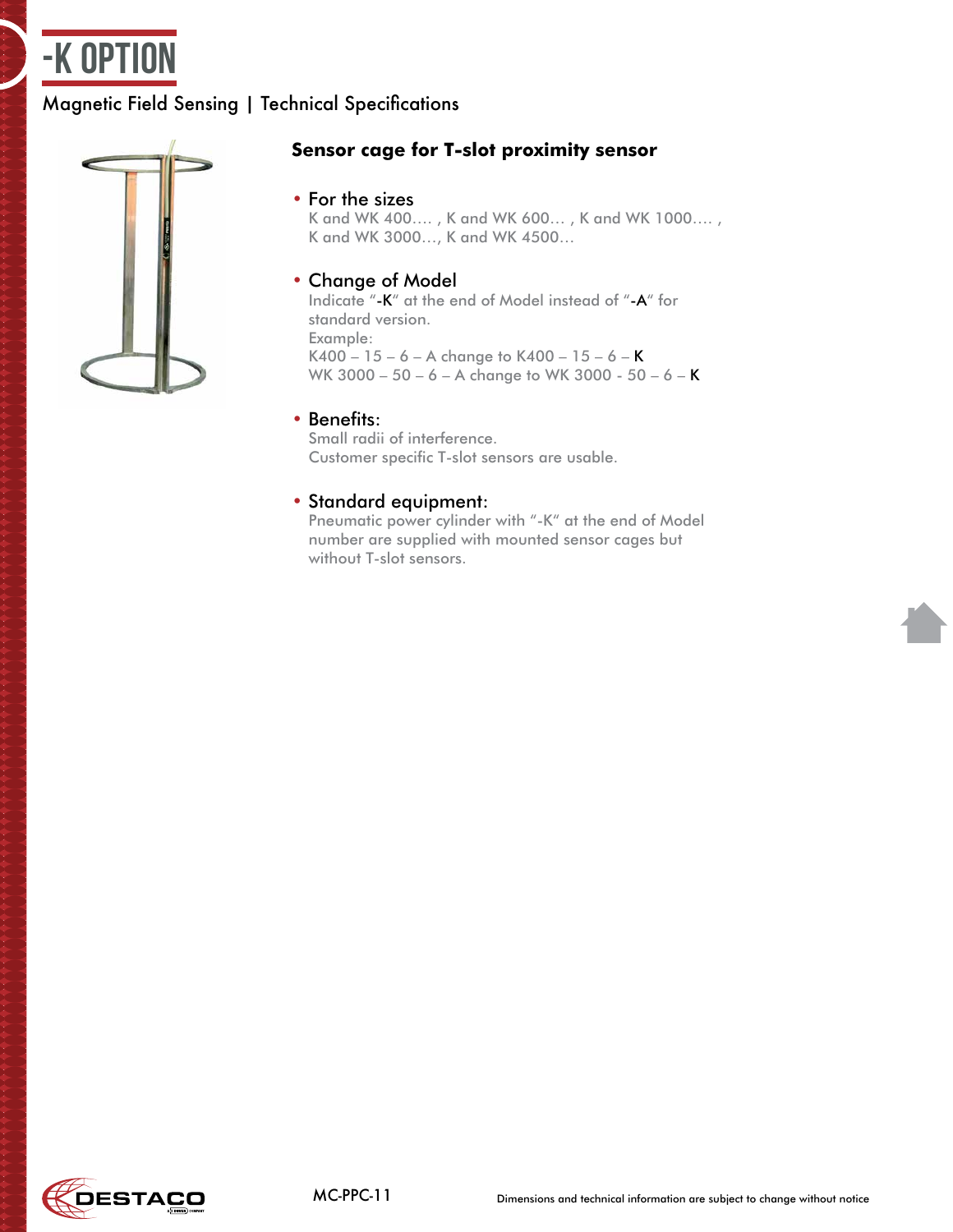

# Magnetic Field Sensing | Technical Specifications



### **Sensor cage for T-slot proximity sensor**

### • For the sizes

K and WK 400…. , K and WK 600… , K and WK 1000…. , K and WK 3000…, K and WK 4500…

### • Change of Model

Indicate "-K" at the end of Model instead of "-A" for standard version. Example: K400 – 15 – 6 – A change to K400 – 15 – 6 – K WK 3000 – 50 – 6 – A change to WK 3000 - 50 – 6 – K

### • Benefits:

Small radii of interference. Customer specific T-slot sensors are usable.

### • Standard equipment:

Pneumatic power cylinder with "-K" at the end of Model number are supplied with mounted sensor cages but without T-slot sensors.